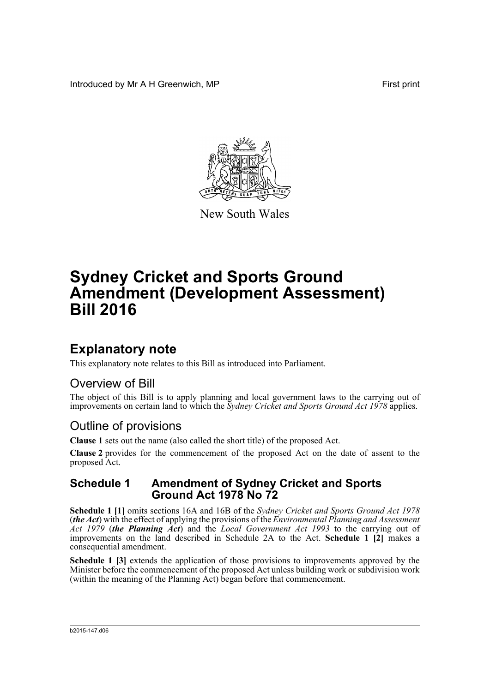Introduced by Mr A H Greenwich, MP **First** print



New South Wales

# **Sydney Cricket and Sports Ground Amendment (Development Assessment) Bill 2016**

## **Explanatory note**

This explanatory note relates to this Bill as introduced into Parliament.

### Overview of Bill

The object of this Bill is to apply planning and local government laws to the carrying out of improvements on certain land to which the *Sydney Cricket and Sports Ground Act 1978* applies.

### Outline of provisions

**Clause 1** sets out the name (also called the short title) of the proposed Act.

**Clause 2** provides for the commencement of the proposed Act on the date of assent to the proposed Act.

#### **Schedule 1 Amendment of Sydney Cricket and Sports Ground Act 1978 No 72**

**Schedule 1 [1]** omits sections 16A and 16B of the *Sydney Cricket and Sports Ground Act 1978* (*the Act*) with the effect of applying the provisions of the *Environmental Planning and Assessment Act 1979* (*the Planning Act*) and the *Local Government Act 1993* to the carrying out of improvements on the land described in Schedule 2A to the Act. **Schedule 1 [2]** makes a consequential amendment.

**Schedule 1 [3]** extends the application of those provisions to improvements approved by the Minister before the commencement of the proposed Act unless building work or subdivision work (within the meaning of the Planning Act) began before that commencement.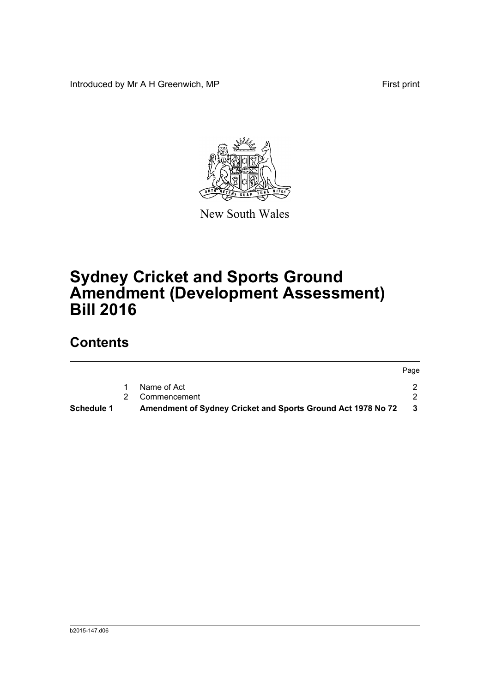Introduced by Mr A H Greenwich, MP First print



New South Wales

# **Sydney Cricket and Sports Ground Amendment (Development Assessment) Bill 2016**

## **Contents**

|            |                                                              | Page |
|------------|--------------------------------------------------------------|------|
|            | Name of Act                                                  |      |
|            | 2 Commencement                                               |      |
| Schedule 1 | Amendment of Sydney Cricket and Sports Ground Act 1978 No 72 | - 3  |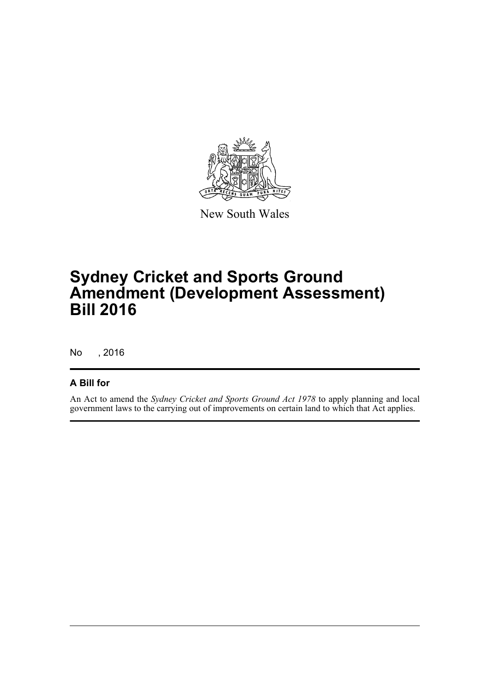

New South Wales

## **Sydney Cricket and Sports Ground Amendment (Development Assessment) Bill 2016**

No , 2016

#### **A Bill for**

An Act to amend the *Sydney Cricket and Sports Ground Act 1978* to apply planning and local government laws to the carrying out of improvements on certain land to which that Act applies.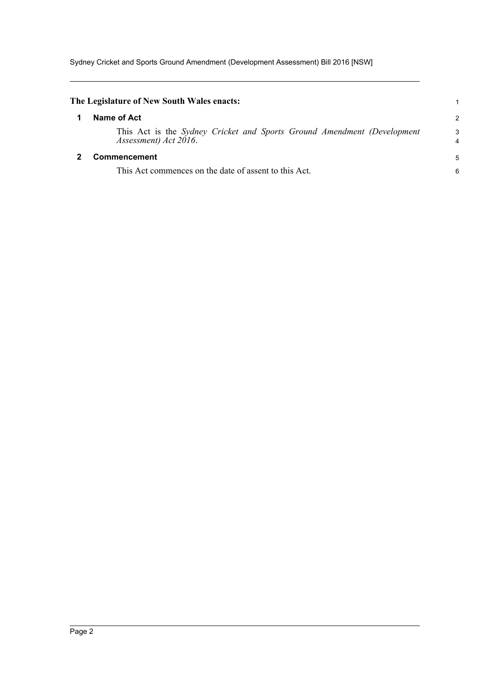Sydney Cricket and Sports Ground Amendment (Development Assessment) Bill 2016 [NSW]

<span id="page-3-1"></span><span id="page-3-0"></span>

| The Legislature of New South Wales enacts:                                                       |        |
|--------------------------------------------------------------------------------------------------|--------|
| Name of Act                                                                                      | 2      |
| This Act is the Sydney Cricket and Sports Ground Amendment (Development<br>Assessment) Act 2016. | 3<br>4 |
| Commencement                                                                                     |        |
| This Act commences on the date of assent to this Act.                                            | 6      |
|                                                                                                  |        |